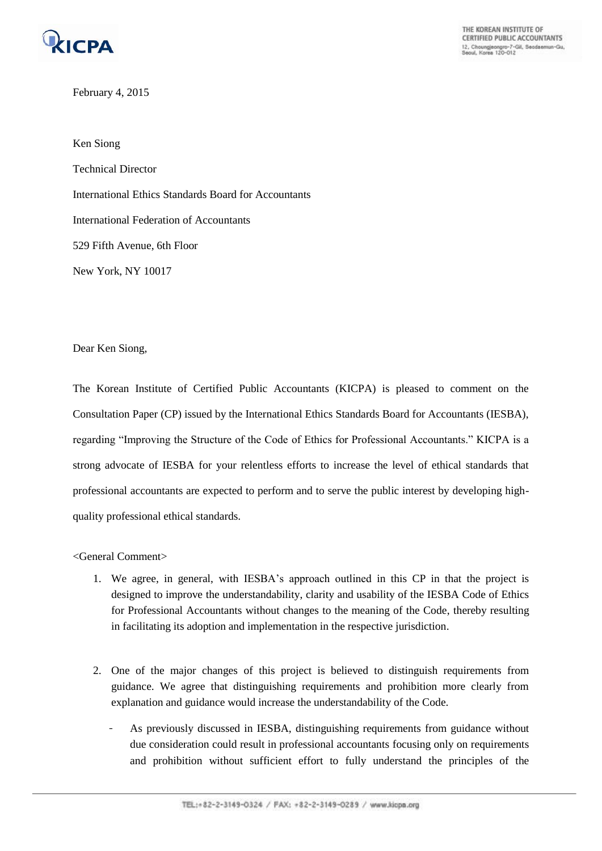

THE KOREAN INSTITUTE OF **CERTIFIED PUBLIC ACCOUNTANTS** 12, Choungjeongro-7-Gil, Seodaemun-Gu,<br>Seoul, Korea 120-012

February 4, 2015

Ken Siong Technical Director International Ethics Standards Board for Accountants International Federation of Accountants 529 Fifth Avenue, 6th Floor New York, NY 10017

Dear Ken Siong,

The Korean Institute of Certified Public Accountants (KICPA) is pleased to comment on the Consultation Paper (CP) issued by the International Ethics Standards Board for Accountants (IESBA), regarding "Improving the Structure of the Code of Ethics for Professional Accountants." KICPA is a strong advocate of IESBA for your relentless efforts to increase the level of ethical standards that professional accountants are expected to perform and to serve the public interest by developing highquality professional ethical standards.

<General Comment>

- 1. We agree, in general, with IESBA's approach outlined in this CP in that the project is designed to improve the understandability, clarity and usability of the IESBA Code of Ethics for Professional Accountants without changes to the meaning of the Code, thereby resulting in facilitating its adoption and implementation in the respective jurisdiction.
- 2. One of the major changes of this project is believed to distinguish requirements from guidance. We agree that distinguishing requirements and prohibition more clearly from explanation and guidance would increase the understandability of the Code.
	- As previously discussed in IESBA, distinguishing requirements from guidance without due consideration could result in professional accountants focusing only on requirements and prohibition without sufficient effort to fully understand the principles of the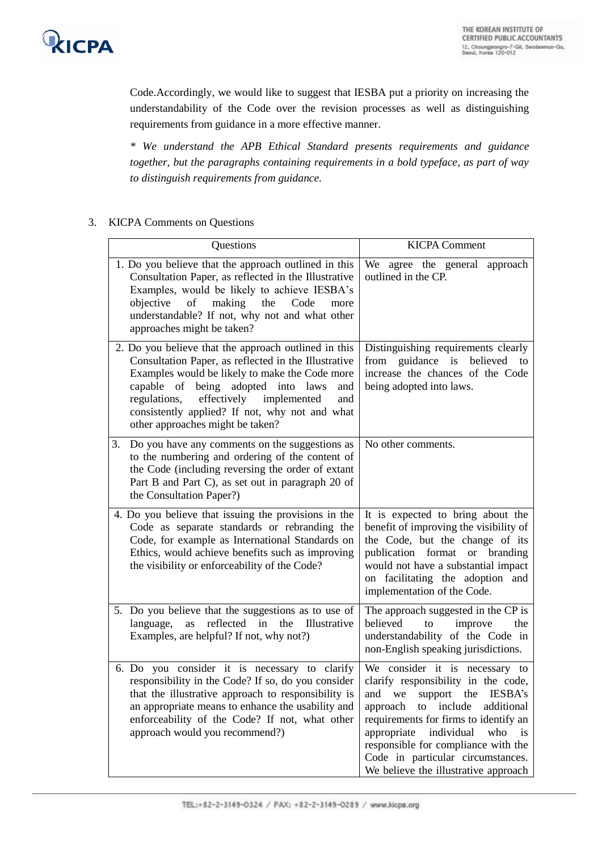

Code.Accordingly, we would like to suggest that IESBA put a priority on increasing the understandability of the Code over the revision processes as well as distinguishing requirements from guidance in a more effective manner.

*\* We understand the APB Ethical Standard presents requirements and guidance together, but the paragraphs containing requirements in a bold typeface, as part of way to distinguish requirements from guidance.* 

## 3. KICPA Comments on Questions

| Questions                                                                                                                                                                                                                                                                                                                                              | <b>KICPA Comment</b>                                                                                                                                                                                                                                                                                                                                                     |
|--------------------------------------------------------------------------------------------------------------------------------------------------------------------------------------------------------------------------------------------------------------------------------------------------------------------------------------------------------|--------------------------------------------------------------------------------------------------------------------------------------------------------------------------------------------------------------------------------------------------------------------------------------------------------------------------------------------------------------------------|
| 1. Do you believe that the approach outlined in this<br>Consultation Paper, as reflected in the Illustrative<br>Examples, would be likely to achieve IESBA's<br>making<br>objective<br>of<br>the<br>Code<br>more<br>understandable? If not, why not and what other<br>approaches might be taken?                                                       | We agree the general approach<br>outlined in the CP.                                                                                                                                                                                                                                                                                                                     |
| 2. Do you believe that the approach outlined in this<br>Consultation Paper, as reflected in the Illustrative<br>Examples would be likely to make the Code more<br>capable of being adopted into laws<br>and<br>regulations,<br>effectively<br>implemented<br>and<br>consistently applied? If not, why not and what<br>other approaches might be taken? | Distinguishing requirements clearly<br>from guidance is<br>believed<br>to<br>increase the chances of the Code<br>being adopted into laws.                                                                                                                                                                                                                                |
| Do you have any comments on the suggestions as<br>3.<br>to the numbering and ordering of the content of<br>the Code (including reversing the order of extant<br>Part B and Part C), as set out in paragraph 20 of<br>the Consultation Paper?)                                                                                                          | No other comments.                                                                                                                                                                                                                                                                                                                                                       |
| 4. Do you believe that issuing the provisions in the<br>Code as separate standards or rebranding the<br>Code, for example as International Standards on<br>Ethics, would achieve benefits such as improving<br>the visibility or enforceability of the Code?                                                                                           | It is expected to bring about the<br>benefit of improving the visibility of<br>the Code, but the change of its<br>publication format or branding<br>would not have a substantial impact<br>on facilitating the adoption and<br>implementation of the Code.                                                                                                               |
| 5. Do you believe that the suggestions as to use of<br>reflected in<br>as<br>the<br>Illustrative<br>language,<br>Examples, are helpful? If not, why not?)                                                                                                                                                                                              | The approach suggested in the CP is<br>believed<br>to<br>improve<br>the<br>understandability of the Code in<br>non-English speaking jurisdictions.                                                                                                                                                                                                                       |
| 6. Do you consider it is necessary to clarify<br>responsibility in the Code? If so, do you consider<br>that the illustrative approach to responsibility is<br>an appropriate means to enhance the usability and<br>enforceability of the Code? If not, what other<br>approach would you recommend?)                                                    | We consider it is necessary to<br>clarify responsibility in the code,<br>and<br>we<br>support<br>the<br><b>IESBA's</b><br>include<br>additional<br>approach<br>to<br>requirements for firms to identify an<br>appropriate<br>individual<br>who<br>is<br>responsible for compliance with the<br>Code in particular circumstances.<br>We believe the illustrative approach |